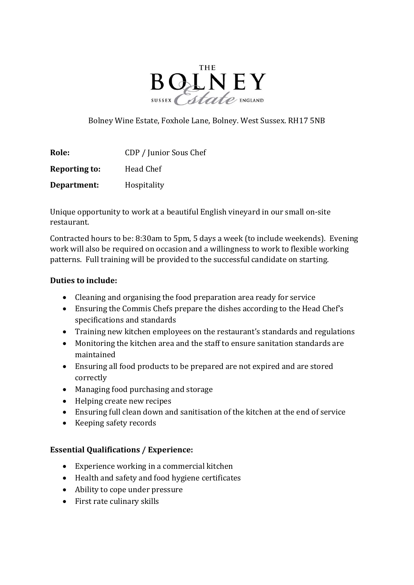

Bolney Wine Estate, Foxhole Lane, Bolney. West Sussex. RH17 5NB

| Role:                | CDP / Junior Sous Chef |
|----------------------|------------------------|
| <b>Reporting to:</b> | Head Chef              |
| Department:          | <b>Hospitality</b>     |

Unique opportunity to work at a beautiful English vineyard in our small on-site restaurant.

Contracted hours to be: 8:30am to 5pm, 5 days a week (to include weekends). Evening work will also be required on occasion and a willingness to work to flexible working patterns. Full training will be provided to the successful candidate on starting.

## Duties to include:

- Cleaning and organising the food preparation area ready for service
- Ensuring the Commis Chefs prepare the dishes according to the Head Chef's specifications and standards
- Training new kitchen employees on the restaurant's standards and regulations
- Monitoring the kitchen area and the staff to ensure sanitation standards are maintained
- Ensuring all food products to be prepared are not expired and are stored correctly
- Managing food purchasing and storage
- Helping create new recipes
- Ensuring full clean down and sanitisation of the kitchen at the end of service
- Keeping safety records

## Essential Qualifications / Experience:

- Experience working in a commercial kitchen
- Health and safety and food hygiene certificates
- Ability to cope under pressure
- First rate culinary skills